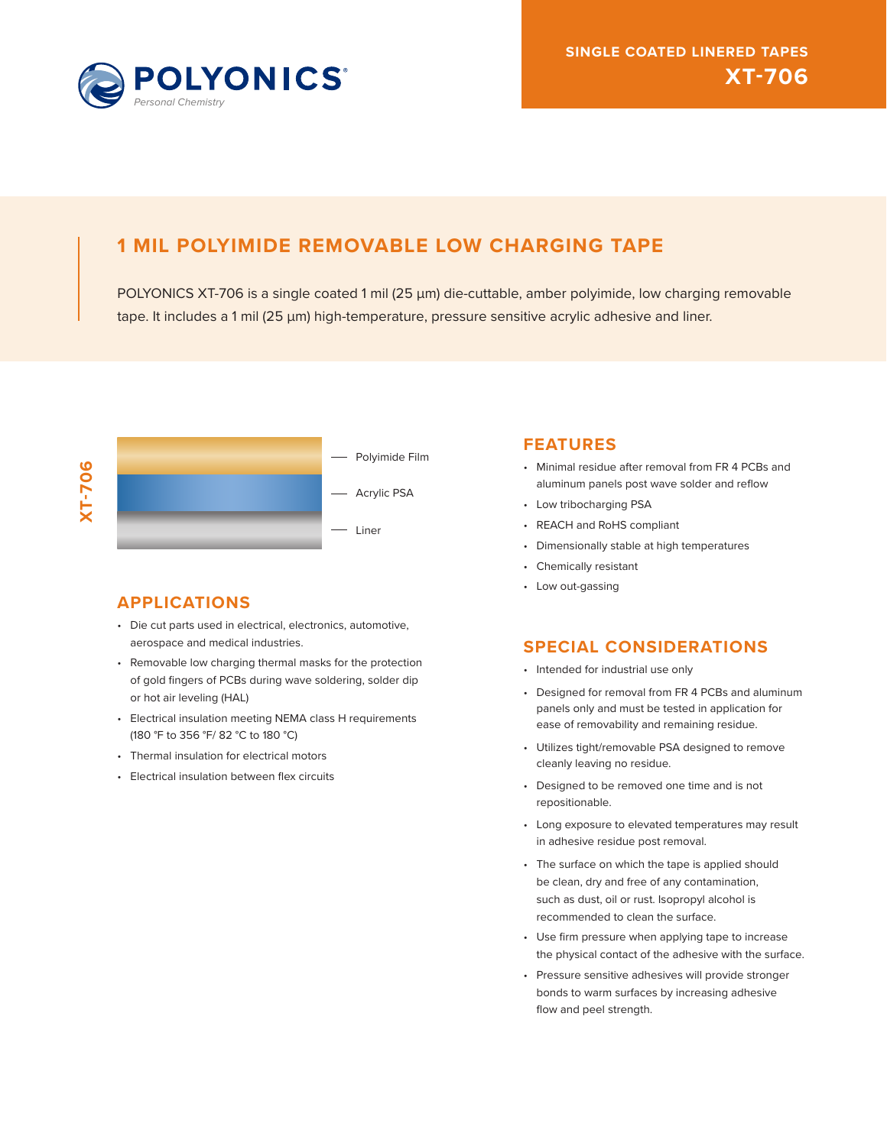

# **1 MIL POLYIMIDE REMOVABLE LOW CHARGING TAPE**

POLYONICS XT-706 is a single coated 1 mil (25 μm) die-cuttable, amber polyimide, low charging removable tape. It includes a 1 mil (25 μm) high-temperature, pressure sensitive acrylic adhesive and liner.



## **APPLICATIONS**

- Die cut parts used in electrical, electronics, automotive, aerospace and medical industries.
- Removable low charging thermal masks for the protection of gold fingers of PCBs during wave soldering, solder dip or hot air leveling (HAL)
- Electrical insulation meeting NEMA class H requirements (180 °F to 356 °F/ 82 °C to 180 °C)
- Thermal insulation for electrical motors
- Electrical insulation between flex circuits

### **FEATURES**

- Minimal residue after removal from FR 4 PCBs and aluminum panels post wave solder and reflow
- Low tribocharging PSA
- REACH and RoHS compliant
- Dimensionally stable at high temperatures
- Chemically resistant
- Low out-gassing

## **SPECIAL CONSIDERATIONS**

- Intended for industrial use only
- Designed for removal from FR 4 PCBs and aluminum panels only and must be tested in application for ease of removability and remaining residue.
- Utilizes tight/removable PSA designed to remove cleanly leaving no residue.
- Designed to be removed one time and is not repositionable.
- Long exposure to elevated temperatures may result in adhesive residue post removal.
- The surface on which the tape is applied should be clean, dry and free of any contamination, such as dust, oil or rust. Isopropyl alcohol is recommended to clean the surface.
- Use firm pressure when applying tape to increase the physical contact of the adhesive with the surface.
- Pressure sensitive adhesives will provide stronger bonds to warm surfaces by increasing adhesive flow and peel strength.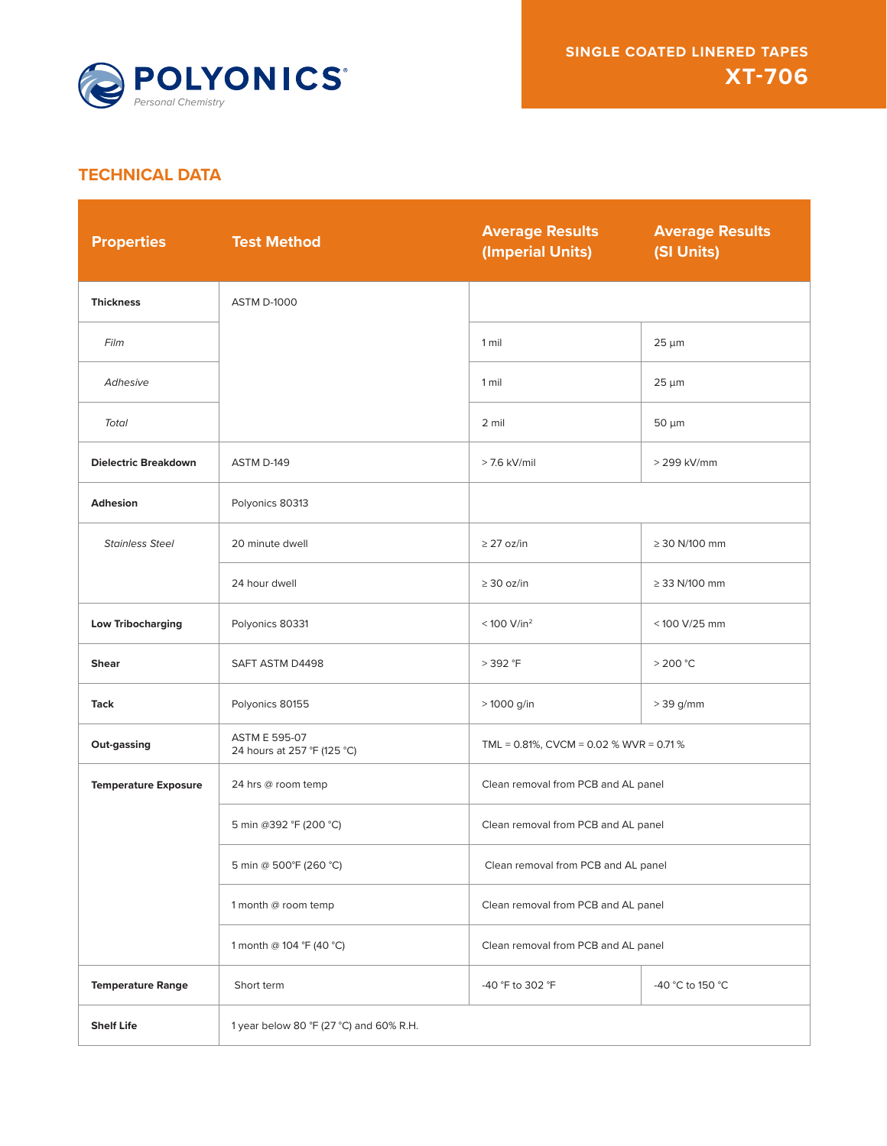

## **TECHNICAL DATA**

| <b>Properties</b>           | <b>Test Method</b>                                  | <b>Average Results</b><br>(Imperial Units) | <b>Average Results</b><br>(SI Units) |
|-----------------------------|-----------------------------------------------------|--------------------------------------------|--------------------------------------|
| <b>Thickness</b>            | <b>ASTM D-1000</b>                                  |                                            |                                      |
| Film                        |                                                     | 1 mil                                      | $25 \mu m$                           |
| Adhesive                    |                                                     | 1 mil                                      | $25 \mu m$                           |
| <b>Total</b>                |                                                     | 2 mil                                      | $50 \mu m$                           |
| <b>Dielectric Breakdown</b> | ASTM D-149                                          | $>$ 7.6 kV/mil                             | > 299 kV/mm                          |
| <b>Adhesion</b>             | Polyonics 80313                                     |                                            |                                      |
| <b>Stainless Steel</b>      | 20 minute dwell                                     | $\geq$ 27 oz/in                            | $\geq$ 30 N/100 mm                   |
|                             | 24 hour dwell                                       | $\geq$ 30 oz/in                            | $\geq$ 33 N/100 mm                   |
| <b>Low Tribocharging</b>    | Polyonics 80331                                     | $< 100$ V/in <sup>2</sup>                  | < 100 V/25 mm                        |
| <b>Shear</b>                | SAFT ASTM D4498                                     | > 392 °F                                   | $>$ 200 °C                           |
| Tack                        | Polyonics 80155                                     | > 1000 g/in                                | $> 39$ g/mm                          |
| Out-gassing                 | <b>ASTM E 595-07</b><br>24 hours at 257 °F (125 °C) | TML = 0.81%, CVCM = 0.02 % WVR = 0.71 %    |                                      |
| <b>Temperature Exposure</b> | 24 hrs @ room temp                                  | Clean removal from PCB and AL panel        |                                      |
|                             | 5 min @392 °F (200 °C)                              | Clean removal from PCB and AL panel        |                                      |
|                             | 5 min @ 500°F (260 °C)                              | Clean removal from PCB and AL panel        |                                      |
|                             | 1 month @ room temp                                 | Clean removal from PCB and AL panel        |                                      |
|                             | 1 month @ 104 °F (40 °C)                            | Clean removal from PCB and AL panel        |                                      |
| <b>Temperature Range</b>    | Short term                                          | -40 °F to 302 °F                           | -40 °C to 150 °C                     |
| <b>Shelf Life</b>           | 1 year below 80 °F (27 °C) and 60% R.H.             |                                            |                                      |